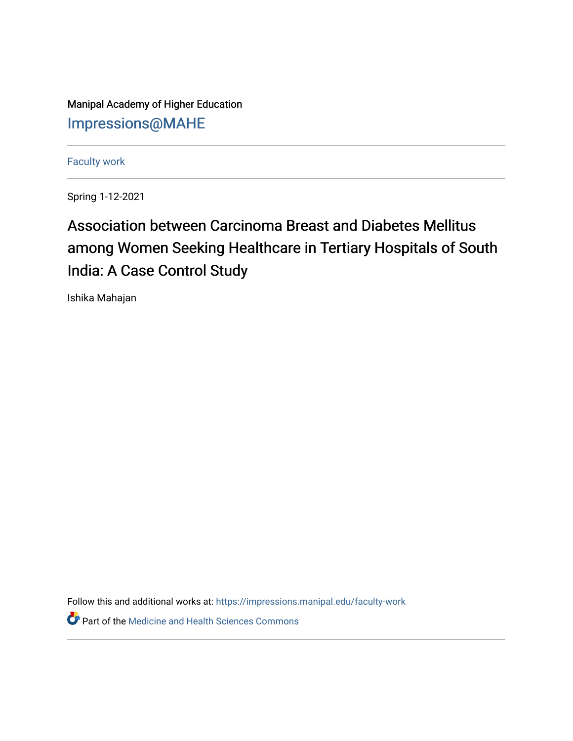Manipal Academy of Higher Education [Impressions@MAHE](https://impressions.manipal.edu/)

[Faculty work](https://impressions.manipal.edu/faculty-work) 

Spring 1-12-2021

## Association between Carcinoma Breast and Diabetes Mellitus among Women Seeking Healthcare in Tertiary Hospitals of South India: A Case Control Study

Ishika Mahajan

Follow this and additional works at: [https://impressions.manipal.edu/faculty-work](https://impressions.manipal.edu/faculty-work?utm_source=impressions.manipal.edu%2Ffaculty-work%2F114&utm_medium=PDF&utm_campaign=PDFCoverPages) 

**Part of the Medicine and Health Sciences Commons**